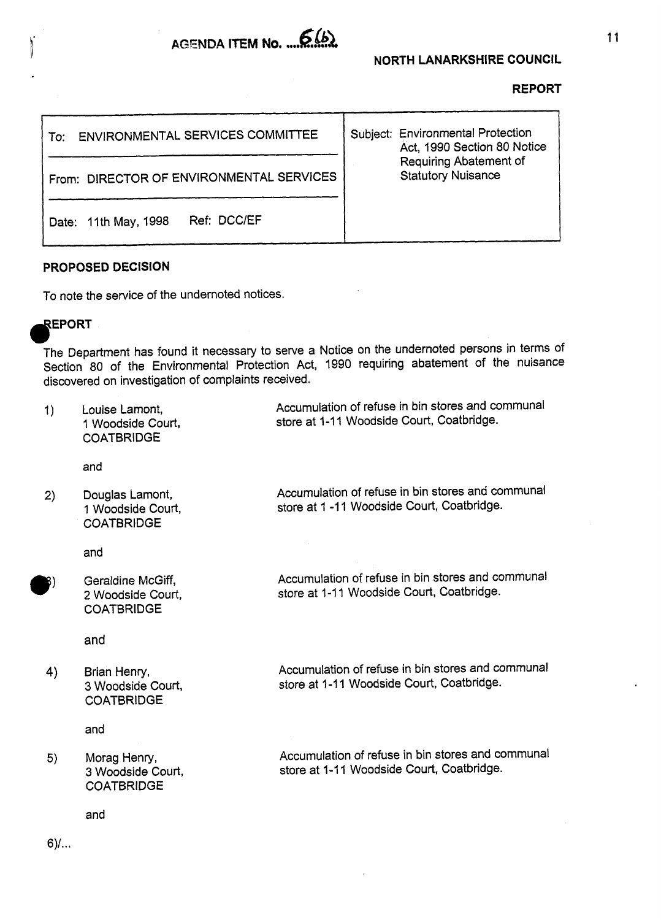

| ENVIRONMENTAL SERVICES COMMITTEE<br>To:  | Subject: Environmental Protection<br>Act, 1990 Section 80 Notice |
|------------------------------------------|------------------------------------------------------------------|
| From: DIRECTOR OF ENVIRONMENTAL SERVICES | <b>Requiring Abatement of</b><br><b>Statutory Nuisance</b>       |
| Ref: DCC/EF<br>Date: 11th May, 1998      |                                                                  |

## **PROPOSED DECISION**

To note the service of the undernoted notices.

## REPORT

The Department **has** found it necessary to serve a Notice on the undernoted persons in terms of Section 80 of the Environmental Protection Act, 1990 requiring abatement of the nuisance discovered on investigation of complaints received.

| 1) | Louise Lamont,<br>1 Woodside Court,<br><b>COATBRIDGE</b>    | Accumulation of refuse in bin stores and communal<br>store at 1-11 Woodside Court, Coatbridge. |
|----|-------------------------------------------------------------|------------------------------------------------------------------------------------------------|
|    | and                                                         |                                                                                                |
| 2) | Douglas Lamont,<br>1 Woodside Court,<br><b>COATBRIDGE</b>   | Accumulation of refuse in bin stores and communal<br>store at 1-11 Woodside Court, Coatbridge. |
|    | and                                                         |                                                                                                |
|    | Geraldine McGiff,<br>2 Woodside Court,<br><b>COATBRIDGE</b> | Accumulation of refuse in bin stores and communal<br>store at 1-11 Woodside Court, Coatbridge. |
|    | and                                                         |                                                                                                |
| 4) | Brian Henry,<br>3 Woodside Court,<br><b>COATBRIDGE</b>      | Accumulation of refuse in bin stores and communal<br>store at 1-11 Woodside Court, Coatbridge. |
|    | and                                                         |                                                                                                |
| 5) | Morag Henry,<br>3 Woodside Court,<br><b>COATBRIDGE</b>      | Accumulation of refuse in bin stores and communal<br>store at 1-11 Woodside Court, Coatbridge. |
|    | and                                                         |                                                                                                |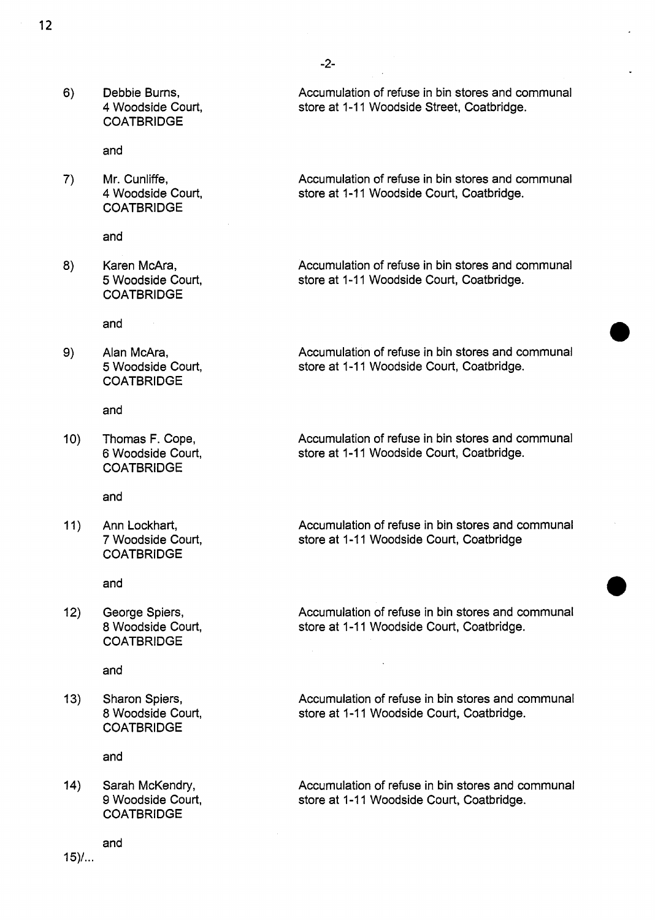$6)$ Debbie Burns, **4** Woodside Court, **COATBRIDGE** 

and

 $7)$ Mr. Cunliffe, **4** Woodside Court, **COATBRIDGE** 

and

 $8)$ Karen McAra, *5* Woodside Court, COATBRIDGE

and

9) Alan McAra, *5* Woodside Court, COATBRIDGE

and

Thomas F. Cope,  $10)$ 6 Woodside Court, **COATBRIDGE** 

and

 $11)$ Ann Lockhart, 7 Woodside Court, **COATBRIDGE** 

and

George Spiers,  $12)$ 8 Woodside Court, COATBRIDGE

and

13) Sharon Spiers, 8 Woodside Court, **COATBRIDGE** 

and

Sarah McKendry, 9 Woodside Court, **COATBRIDGE** 

and

 $15$ )...

Accumulation of refuse in bin stores and communal store at 1-11 Woodside Street, Coatbridge.

Accumulation of refuse in bin stores and communal store at 1-11 Woodside Court, Coatbridge.

Accumulation of refuse in bin stores and communal store at 1-11 Woodside Court, Coatbridge.

Accumulation of refuse in bin stores and communal store at 1-11 Woodside Court, Coatbridge.

Accumulation of refuse in bin stores and communal store at 1-11 Woodside Court, Coatbridge.

Accumulation of refuse in bin stores and communal store at 1-11 Woodside Court, Coatbridge

Accumulation of refuse in bin stores and communal store at 1-1 1 Woodside Court, Coatbridge.

Accumulation of refuse in bin stores and communal store at 1-1 1 Woodside Court, Coatbridge.

Accumulation of refuse in bin stores and communal Sarah McKendry, **Sarah McKendry,** Accumulation of refuse in bin stores and co<br>9 Woodside Court, Coatbridge.